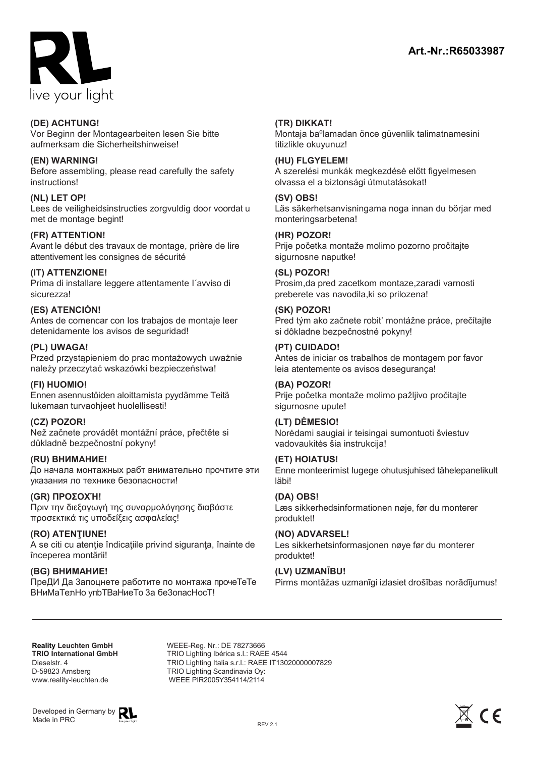

### **(DE) ACHTUNG!**

Vor Beginn der Montagearbeiten lesen Sie bitte aufmerksam die Sicherheitshinweise!

## **(EN) WARNING!**

Before assembling, please read carefully the safety instructions!

# **(NL) LET OP!**

Lees de veiligheidsinstructies zorgvuldig door voordat u met de montage begint!

## **(FR) ATTENTION!**

Avant le début des travaux de montage, prière de lire attentivement les consignes de sécurité

## **(IT) ATTENZIONE!**

Prima di installare leggere attentamente I´avviso di sicurezza!

## **(ES) ATENCIÓN!**

Antes de comencar con los trabajos de montaje leer detenidamente los avisos de seguridad!

## **(PL) UWAGA!**

Przed przystąpieniem do prac montażowych uważnie należy przeczytać wskazówki bezpieczeństwa!

#### **(FI) HUOMIO!**

Ennen asennustöiden aloittamista pyydämme Teitä lukemaan turvaohjeet huolellisesti!

#### **(CZ) POZOR!**

Než začnete provádět montážní práce, přečtěte si důkladně bezpečnostní pokyny!

#### **(RU) ВНИМАНИЕ!**

До начала монтажных рабт внимательно прочтите эти указания ло технике безопасности!

#### **(GR) ΠΡΟΣΟΧΉ!**

Πριν την διεξαγωγή της συναρμολόγησης διαβάστε προσεκτικά τις υποδείξεις ασφαλείας!

**(RO) ATENŢIUNE!** A se citi cu atenţie îndicaţiile privind siguranţa, înainte de începerea montării!

# **(BG) BΗИMAHИE!**

ΠpeДИ Дa 3aпoцнeтe paботите по монтaжа пpoчeTeTe BHиMaTenHo упbTBaHиеTo За беЗопасНосТ!

## **(TR) DIKKAT!**

Montaja baºlamadan önce güvenlik talimatnamesini titizlikle okuyunuz!

#### **(HU) FLGYELEM!**

A szerelési munkák megkezdésė előtt figyelmesen olvassa el a biztonsági útmutatásokat!

#### **(SV) OBS!**

Läs säkerhetsanvisningama noga innan du börjar med monteringsarbetena!

#### **(HR) POZOR!**

Prije početka montaže molimo pozorno pročitajte sigurnosne naputke!

#### **(SL) POZOR!**

Prosim,da pred zacetkom montaze,zaradi varnosti preberete vas navodila,ki so prilozena!

## **(SK) POZOR!**

Pred tým ako začnete robit' montážne práce, prečίtajte si dôkladne bezpečnostné pokyny!

## **(PT) CUIDADO!**

Antes de iniciar os trabalhos de montagem por favor leia atentemente os avisos desegurança!

#### **(BA) POZOR!**

Prije početka montaže molimo pažljivo pročitajte sigurnosne upute!

# **(LT) DĖMESIO!**

Norėdami saugiai ir teisingai sumontuoti šviestuv vadovaukitės šia instrukcija!

#### **(ET) HOIATUS!**

Enne monteerimist lugege ohutusjuhised tähelepanelikult läbi!

#### **(DA) OBS!**

Læs sikkerhedsinformationen nøje, før du monterer produktet!

# **(NO) ADVARSEL!**

Les sikkerhetsinformasjonen nøye før du monterer produktet!

#### **(LV) UZMANĪBU!**

Pirms montāžas uzmanīgi izlasiet drošības norādījumus!

**Reality Leuchten GmbH TRIO International GmbH** Dieselstr. 4 D-59823 Arnsberg<br>www.reality-leuchten.de **Reality Leuchten GmbH**<br> **REE-Reg. Nr.: DE 78273666<br>
TRIO International GmbH**<br>
Dieselstr. 4 TRIO Lighting Italia s.r.l.: RAEE 1T13020000007829<br>
D-59823 Arnsberg TRIO Lighting Scandinavia Oy:<br>
www.reality-leuchten.de WEEE P

Developed in Germany by Made in PRC



TRIO Lighting Italia s.r.l.: RAEE IT13020000007829

TRIO Lighting Ibérica s.l.: RAEE 4544

TRIO Lighting Scandinavia Oy: WEEE PIR2005Y354114/2114